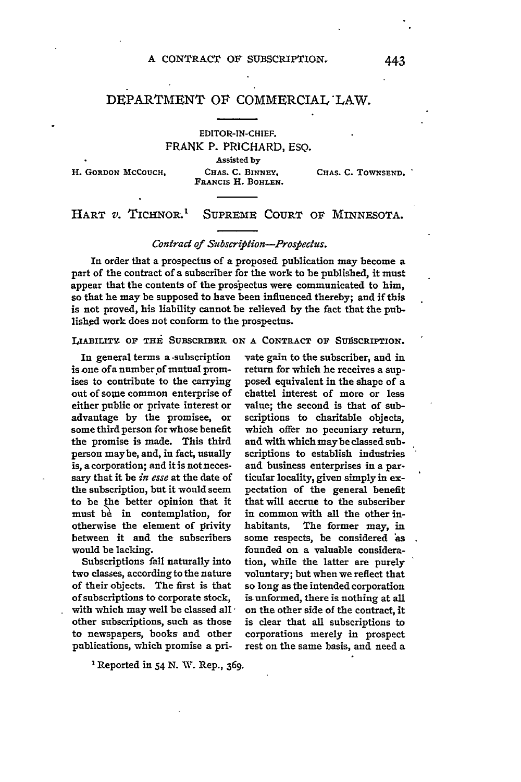# DEPARTMENT OF COMMERCIAL LAW.

# EDITOR-IN-CHIEF. FRANK P. PRICHARD, ESQ. Assisted **by**

H. GORDON **MCCOUCH,**

**CHAS.** C. **BINNEY, FRANCIS** H. **BOHLEN.**

**CHAS. C.** TOWNSEND, **'**

HART *v*. TICHNOR.<sup>1</sup> SUPREME COURT OF MINNESOTA.

# *Contrac of Subscription-Prosfiectus.*

In order that a prospectus of a proposed publication may become a part of the contract of a subscriber for the work to be published, it must appear that the contents of the prospectus were communicated to him, **so** that he may be supposed to have been influenced thereby; and if this is not proved, his liability cannot be relieved **by** the fact that the published work does not conform to the prospectus.

LIABILITY OF THE SUBSCRIBER ON A CONTRACT OF SUBSCRIPTION.

In general terms a .subscription is one of a number of mutual promises to contribute to the carrying out of some common enterprise of either public or private interest or advantage by the promisee, or some third person for whose benefit the promise is made. This third person maybe, and, in fact, usually is, a corporation; and it is notnecessary that it be *in esse* at the date of the subscription, but it would seem to be the better opinion that it must be in contemplation, for otherwise the element of privity between it and the subscribers would be lacking.

Subscriptions fall naturally into two classes, according to the nature of their objects. The first is that of subscriptions to corporate stock, with which may well be classed all  $\cdot$ other subscriptions, such as those to newspapers, books and other publications, which promise a pri-

IReported in 54 **N.** W. Rep., **369.**

vate gain to the subscriber, and in return for which he receives a supposed equivalent in the shape of a chattel interest of more or less value; the second is that of subscriptions to charitable objects, which offer no pecuniary return, and with which may be classed subscriptions to establish industries and business enterprises in a particular locality, given simply in expectation of the general benefit that will accrue to the subscriber in common with all the other inhabitants, The former may, in some respects, be considered as founded on a valuable consideration, while the latter are purely voluntary; but when we reflect that so long as the intended corporation is-unformed, there is nothing at all **on** the other side of the contract, it is *clear* that all subscriptions to corporations merely in prospect rest on the same basis, and need a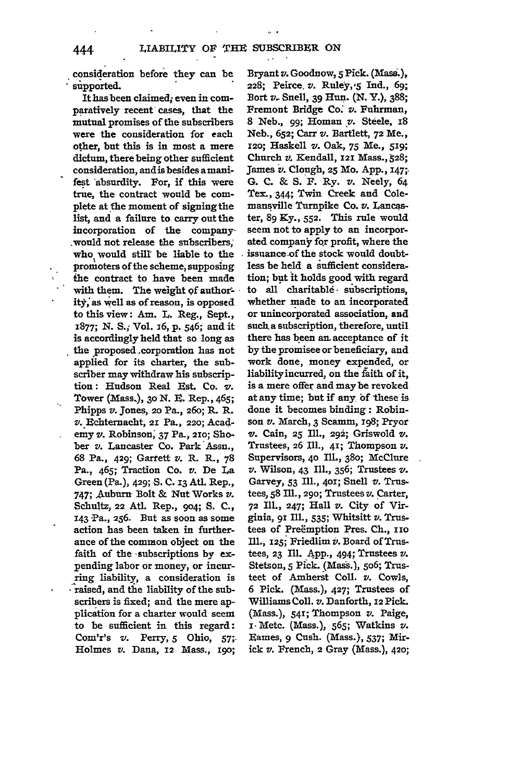consideration before they can be supported.

It has been claimed; even in comparatively recent cases, that the mutual promises of the subscribers were the consideration for each other, but this is in most a mere dictum, there being other sufficient consideration, and is besides amanifeat 'absurdity. For, **if** this were true, the contract would be complete at the moment of signingthe list, and a failure to carry out the incorporation of the company- .would not release the subscribers; who would still be liable to the , promoters of the scheme, supposing ihe contract to have been made with them. The weight **of** authority, as well as of reason, is opposed to this view: Am. L. Reg., Sept., 1877; **N. S.;** Vol. **i6, p.** 546; and it is accordingly held that so long as the proposed .corporation has not applied for its charter, the subscriber may withdraw his subscription: Hudson Real Bst. Co. v. Tower (Mass.), **30 N.** E. Rep., 465; Phipps *v.* Jones, **20** Pa., **26o;** R. **R.** v. Echternacht, 21 Pa., 220; Academy **'.** Robinson; **37** Pa., 21O; **Sho**ber *v.* Lancaster Co. Park'Assn., **68** Pa., **429;** Garrett *v.* **R. R.,** 78 Pa., 465; Traction Co. v. De La Green (Pa.), **429; S. C. 13** At. Rep., **747;** Aubum Bolt & Nut Works *v.* Schtltz, **22** At. Rep., **9o4; S. C.,** 143 Pa., 256. But as soon as some action has been taken in furtherance of the common object on the faith of the -subscriptions **by** expending labor or money, or incurring liability, a consideration is \* raised, and the liability of the subscribers is fixed; and the mere applicatibn for a charter would seem to be sufficient in this regard: **Com'r's v.** Perry, **5** Ohio, **57;.** Holmes *v.* Dana, **12** Mass., i9o;

Bryant *v.* Goodnow, **5** Pick. (Mass.), **228;** Peirce. *v.* Ruley,-5 Ind., **69; Bort** *v-* Snell, **39 Hun. (N.** Y.), **388;** Fremont Bridge **Co.** v. Fuhrman, 8 Neb., **99;** Homan v. Steele, 18 Neb., **652;** Carr v. Bartlett, **72** Me., **120;** Haskell v'. Oak, **75** Me., **519;** Church *v.* Kendall, 121 Mass., **528;** James v. Clough, **25** Mo. **App., 147;. G. C. & S. F.** Ry. v. Neely, 64 Tex., 344; Twin Creek and Colemansville Turnpike **Co.** *v.* Lancaster, **89 Ky., 552.** This rule would seem **not to** apply **to** an incorporated company **for** profit, where the issuance.of the stock would doubtless be held a sufficient consideration; but it holds good with regard to all charitable subscriptions, whether made to an incorporated or unincorporated association, and suck a subscription, therefore, until there has been an. acceptance of it **by** the promisee or beneficiary, and work done, money expended, or liabilityincurred, on the faith of it, is a mere offer and maybe revoked at any time; but if any **of** these is done it becomes binding: Robinson *v.* March, **3** Scamm, 198; Pryor V. Cain, **25** Il., **292;** Griswold v. Trustees, **26 1l., 41;** Thompson v. Supervisors, **40** IlL, 38o; McClure *v.* Wilson, 43 Ill., **356;** Trustees v. Garvey, **53 Ill., 4oi;** Snell *v.* Trustees, **58** Ill., **290;** Trustees v. Carter, **72** Ill., **247;** Hall v. City of Virginia, **91** Ill., **535;** Whitsitt *v.* Trustees of PreEmption Pres. **Ch., IIO** Ill., **125;** Friedlim *v.* Board of Trustees, **23** Ill. **App.,** 494; Trustees *v.* Stetson, **5 Pick.** (Mass.), 5o6; Trusteet of Amherst Coll. *v.* Cowls, 6 Pick. (Mass.), **427;** Trustees of Williams Coll. *v.* Danforth, **12** Pick. (Mass.), 541; Thompson *v.* Paige, x. Metc. (Mass.), **565;** Watkins *v.* Eames, 9 Cash. (Mass.), **537;** Mirick *v.* French, 2 Gray (Mass.), **420;**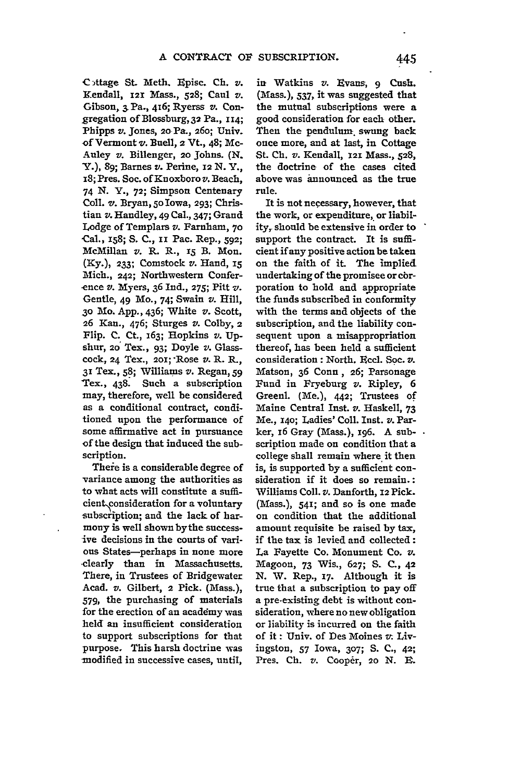C ttage St. Meth. Episc. **Ch.** *v.* Kendall, **121** Mass., 528; Caul *v,.* Gibson, 3 Pa., 416; Ryerss v. Congregation of Blossburg, **32** Pa., 114; Phipps **v.** Jones, 2oPa., **26o;** Univ. of Vermont  $v$ . Buell,  $z$  Vt.,  $48$ ; Mc-Auley v. Billenger, **20** Johns. **(N.** Y.), 89; Barnes v. Perine, 12 **N.** *Y.,* 18; Pres. Soc. of Knoxboro v. Beach, 74 N. **Y., 72;** Simpson Centenary Coll. v. Bryan, **50** Iowa, **293;** Christian v. Handley, 49 Cal., 347; Grand Lodge of Templars v. Farnham, **70** Cal., **15<sup>8</sup> ;** S. C., **ii** Pac. Rep., 592; McMillan v. R. R., **15** B. Mon. **(Ky.), 233;** Comstock *v.* Hand, **i5** Mich., 242; Northwestern Confer- -ence v. Myers, 36 Ind., **275;** Pitt **v.** Gentle, 49 Mo., 74; Swain *v.* Hill, **30** Mo. **App.,** 436; White *v.* Scott, 26 **Kan.,** 476; Sturges v. Colby, 2 Flip. **C.** Ct., **163;** Hopkins *V.* **Up**shur, **2o** Tex., **93;** Doyle v. Glass**cock,** 24 Tex., 2o1; -Rose *v.* R. *M,* 31 Tex., 58; Williams v. Regan, 59 'Tex., 438: Such a subscription may, therefore, well be considered as a conditional contract, conditioned upon the performance of some affirmative act in pursuance of the design that induced the subscription.

There is a considerable degree of variance among the authorities as to what acts will constitute a sufficient consideration for a voluntary subscription; and the lack of harmony is well shown **by** the successive decisions in the courts of various States-perhaps in none more -clearly than in Massachusetts. There, in Trustees of Bridgewater Acad. v. Gilbert, 2 Pick. (Mass.), **579,** the purchasing of materials for the erection of an academy was held an insufficient consideration to support subscriptions for that purpose. This harsh doctrine was modified in successive cases, until,

in Watkins *v.* Evans, 9 Cush. (Mass.), *537,* it was suggested that the mutual subscriptions were a good consideration for each other. Then the pendulum, swung back once more, and at last, in Cottage St. **Ch. v.** Kendall, **12** Mass., **528,** the doctrine of the cases cited above was announced as the true rule.

It is not necessary, however, that the work, or expenditure, or liability, should be extensive in order to support the contract. It is sufficient if any positive action be taken on the faith of it. The implied undertaking of the promisee or cbrporation to hold and appropriate the funds subscribed in conformity with the terms and objects of the subscription, and the liability consequent upon a misappropriation thereof, has been held a sufficient consideration **:** North. Rccl. Soc. *v.* Matson, 36 Conn, 26; Parsonage Fund in Fryeburg v. Ripley, 6 Greenl. (Me.), **442;** Trustees of Maine Central **Inst.** v. Haskell, **73** Me., **140;** Ladies' Coll. Inst. *v.* Parker, i6 Gray (Mass.), **x96.** A subscription made on condition that a college shall remain where it then is, is supported **by** a sufficient consideration if it does so remain.: Williams Coll. v. Danforth, **12** Pick. (Mass.), 541; and so is one made on condition that the additional amount requisite be raised **by** tax, if the tax is levied and collected: La Fayette Co. Monument Co. *v.* Magoon, **73** Wis., **627; S. C., 42 N.** W. Rep., **17.** Although it is true that a subscription to pay off a pre-existing debt is without consideration, where no new obligation or liability is incurred on the faith of it: Univ. of Des Moines v. Livingston, **57** Iowa, **307; S. C., 42;** Pres. **Ch.** v. Cooper, **2o N. B.**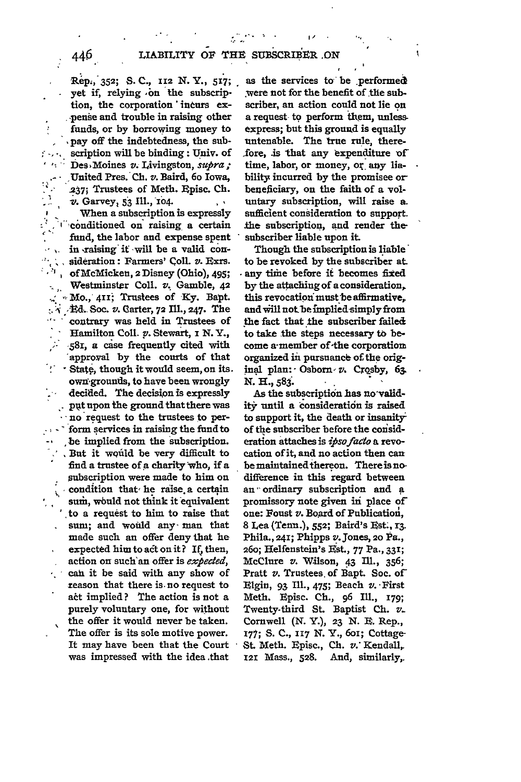**Rep,, 352; S.C., 112 N.Y., 517;** yet if, relying *.bn* the subscription, the corporation 'inturs ex- ..pense and trouble in raising other funds, or **by** borrowing money to pay off the indebtedness, the subscription will be binding: Univ. of Des Moines v. Livingston, *supra*; United Pres. **Ch.** v. Baird, 6o Iowa, **.237;** Trustees of Meth. Episc. **Ch.** -v. Garvey, **53 I11., 2b4.**

When a subscription is expressly 'conditioned **C.** on raising a certain fund, the labor and expense spent in raising it -will be a valid consideration: Farmers' **Coll.** *v.* **Exrs.** \* , **of** McMicketi, **2** Disney (Ohio), 495; Westminster Col. *v.* Gamble, 42 **Mo.,' 4I** Trustees of **Ky.** Bapt. **"V Ud,** Soc. v. Carter, **72** Ill., **247.** The contrary was held in Trustees of Hamilton Coll. *v*. Stewart, I N.Y., **'58r,** a case frequently cited with 'approval **by** the courts of that \* State, though it would seem, on its. own.grounds, to have been wrongly decided. The decision is expressly **.** put upon the ground that there was no request to the trustees to per**form services in raising the fund to** be implied from the subscription. , But it would be very difficult to find a trustee of a charity who, if a subscription were made to him on condition that he raise a certain sum, would not think it equivalent **'to** a request to him to raise that sum; and would any man that made such an offer deny that he expected him to *a6t* on it? **If** then, action on such'an offer is *expiected,* cah it be said with any show of reason that there is. no request to act implied? The action is not a purely voluntary one, for without the offer it would never be taken. The offer is its sole motive power. It may have been that the Court was impressed with the idea .that

as the services to be performed were not for the benefit of the subscriber, an action could not lie on a request **to** perform them, unlessexpress; but this ground is equally untenable. The true rule, there- .fore, .is that any expenditure *uf* time, labor, or money, or any liability incurred **by** the promisee orbeneficiary, on the faith of a voluntary subscription, will raise a. sufficient consideration to support. the subscription, and render thesubscriber liable upon it.

Though the subscription is liable" to be revoked **by** the subscriber at any time before it becomes fixed **by** the attaching of a consideration, this revocation must beaffirmative, and will not be implied simply from the fact that the subscriber failed to take the steps necessary to become a-member of-the corporatiom organized in pursuance of the original plan: Osborn v. Crosby, 63. **N.** H., **583.**

As the subscription has **no** validity until a consideration is raised to support it, the death or insanity of **the** subscriber before the consideration attaches is *ipisofadto* a revocation of it, and no action then can bemaintainedthereon. Thereisnodifference in this regard between an ordinary subscription and **a** promissory note given in place of one: Foust *v.* Board of Publication, **8** Lea (Tenn.), **552;** Baird's Est;, r3. Phila., 241; Phipps *V.* Jones, **20** Pa., **260;** Helfenstein's Est., **77** Pa., **331;** McClure v. Wilson, 43 **Ill., 356;** Pratt *v.* Trustees. of Bapt. Soc. of Elgin, **93 Ill.,** 475; Beach *v.* -First Meth. Episc. **Ch.,** 96 Ill., **179;** Twenty-third St. Baptist **Ch.** v. Cornwell **(N.** Y.), **23 N. B.** Rep., **177; S. C.,** 117 **N.** Y., **6oi;** Cottage-St. Meth. Episc., Ch. v. Kendall, **121** Mass., **528. And,** similarly,.

446

 $\sim$  .  $\sim$  $\mathbf{r}_1$ 13 h,

 $\ddot{\phantom{a}}$ .,

 $\sim$   $_{\star}$ 

 $\overline{\phantom{a}}$ 

k, r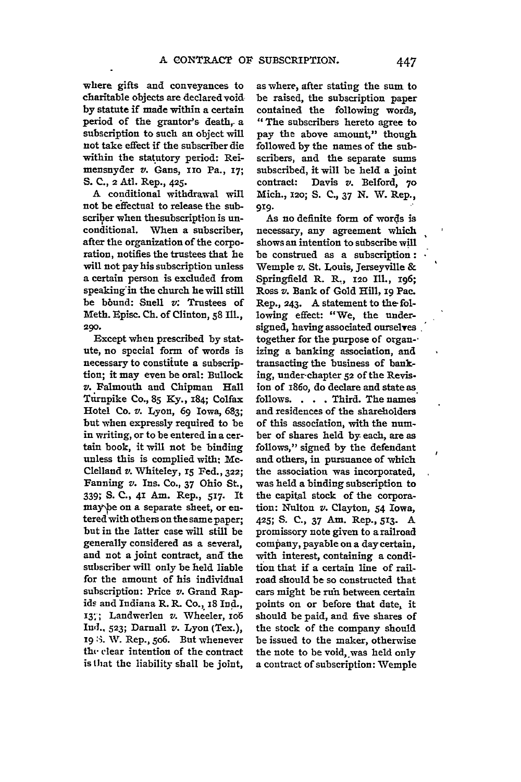where gifts and conveyances to charitable objects are declared void **by** statute if made within a certain period of the grantor's death, a subscription to such an object will not take effect if the subscriber die within the statutory period: Reimensnyder v. Gans, 110 Pa., 17; **S. C.,** 2 Atl. Rep., **425.**

A conditional withdrawal will not be effectual to release the subscriber when thesubscription is unconditional. When a subscriber, after the organization of the corporation, notifies the trustees that he will not pay his subscription unless a certain person is excluded from speaking'in the church he will still be bbund: Snell *v:* Trustees of Meth. Episc. Ch. of Clinton, **58** Ill., **290.**

Except when prescribed by statute, no special form of words is necessary to constitute a subscription; it may even be oral: Bullock v. Falmouth and Chipman Hall Turnpike Co., *85* Ky., 184; Colfax Hotel Co. v. Lyon, **69** Iowa, **683;** but when expressly required to be in writing, or to be entered in a certain book, it will not be binding unless this is complied with: Mc-Clelland *v.* Whiteley, **15** Fed., **322;** Fanning *v.* Ins. **Co.,** 37 Ohio St., 339; **S. C.,** 41 **AM.** Rep., **517.** It may be on a separate sheet, or entered with others on the same paper; but in the latter case will still be generally considered as a several, and not a joint contract, and the subscriber will only be held liable for the amount of his individual subscription: Price v. Grand Rapids and Indiana R. R. Co., i8 Ind., **13,;** Landwerlen *v.* Wheeler, **io6** Ind., **523;** Darnall *v.* Lyon (Tex.), 19 S. W. Rep., 506. But whenever the clear intention of the contract is that the liability shall be joint,

as where, after stating the sum to be raised, the subscription paper contained the following words, "The subscribers hereto agree to pay the above amount," though followed **by** the names of the subscribers, and the separate sums subscribed, it will be held a joint contract: Davis v. Belford, **7G** Mich., 120; **S. C., 37 N.** W. Rep., **919.**

As no definite form of words is necessary, any agreement which shows an intention to subscribe will be construed as a subscription **: •** Wemple *v.* St. Louis, Jerseyville & Springfield R. R., **12o** Ill., 196; Ross *v.* Bank of Gold Hill, **19** Pac. Rep., **243.** A statement to the following effect: "We, the undersigned, having associated ourselves together for the purpose of organ- izing a banking association, and transacting the business of banking, under-chapter **52** of the Revision of i86o, do declare and state as follows. **. . .** Third. The names and residences of the shareholders of this association, with the number of shares held by each, are as follows," signed **by** the defendant and others, in pursuance of which the association was incorporated, was held a binding subscription to the capital stock of the corporation: Nulton *v.* Clayton, 54 Iowa, **425; S. C., 37** Am. Rep., **513. A** promissory note given to a railroad company, payable on a day certain, with interest, containing a condition that if a certain line of railroad should be so constructed that cars might be run between certain points on or before that date, it should be paid, and five shares of the stock of the company should be issued to the maker, otherwise the note to be void, was held only a contract of subscription: Vemple

 $\lambda$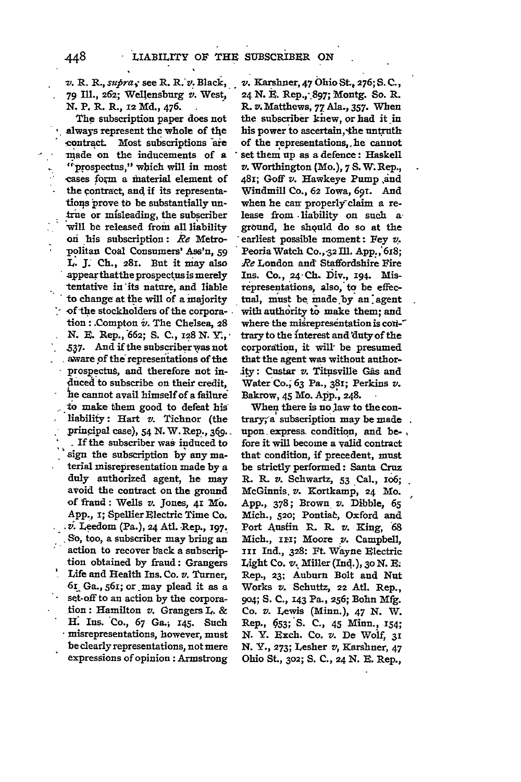### *-v.* R. R., *sufira* , see R. **R.'v.** Black, **79** Ill., **262;** Wellensburg *v.* West, **N.** P. R. R., **12 Md.,** 476.

The subscription paper does not always represent the whole of the contract. Most subscriptions are -made on the inducements of **<sup>a</sup>** "prospectus," which will in most cases form a ihaterial element of the contract, and if its representations prove to be substantially untrue or mfsleading, the subscriber -will be released from all liability on his subscription: *Re* Metro- **"** politan Coal Consumers' Ass'n, **59** L. **J. Ch.,** 281. But it may also appear thatthe prospectus is merely tentative in its nature, and liable **"** to change at the will of a majority of the stockholders of the corporation: .Compton **ii.** The Chelsea, **<sup>28</sup> N. E.** Rep.,'662; **S. C., 128N .** Y, 537. And if the subscriber was not aware of the representations of the prospectus, and therefore not induced to subscribe on their credit, lie cannot avail himself of a failur **to** make them good to defeat his liability: Hart v. Tichnor (the \* principal case), 54 **N.** W. Rep., **3§9.. 1.** If the subscriber was induced to -sign the subscription **by** any material misrepresentation made **by** a **duly** authorized agent, he may avoid the contract on the ground of fraud: Wells v. Jones, **41 o. App., i;** SpeflierElectric Time **Co.** *z*. Leedom (Pa.), 24 Atl. Rep., 197. **So,** too, a subscriber may bring an action to recover back a subscription obtained **by** fraud: Grangers Life and Health Ins. Co. v. Turner, 61 Ga., **56r;** or.may plead it as a set-off to an action **by** the corporation **:** Hamilton *v.* Grangers **L. & H.** Ins. Co., **67** Ga., **145.** Such \* misrepresentations, however, must be clearly representations, not mere expressions of opinion : Armstrong

**v.** Karshxier, 47 Ohio St., **276; S. C.,** 24 N. E. Rep., 897; Montg. So. R. R. **v.** Matthews, **77** Ala., **357.** When the subscriber knew, or had it in his power to ascertain, the untruth of the representations,.he cannot set them up as a defence: Haskell *v.* Worthington (MO.), 7 **S.** W. Rep., 481; Goff v. Hawkeye Pump ,and Windmill Co., **62** Iowa, 691. And when he can properly-claim a release from liability on such a ground, he shquld do so at the earliest possible moment: Fey v. Peoria Watch Co., 32 Ill. App., 618; *Re* London and Staffordshire Fire Ins. **Co.,** 24 Ch. Div., **194.** Misrepresentations, also, to be effectual, must be made by an: agent with authority **to** make them; and where the misrepresentationis **coi**trary to the interest and'duty of the corporation, it will- be presumed that the agent was without author- .ity: Custar v. Titusville Gis and Water Co., **63** Pa., **381;** Perkins **v.** Bakrow, 45 Mo. App., 248.

When there is no **law** to the contrary, a subscription may be made. upon express, condition, and before it will become a valid contract that condition, if precedent, must be strictly performed: Santa Cruz R. R. v. Schwartz, **53** Cal., 1o6; McGinnis, v. Kortkamp, **24 Mo. App., 378;** Brown v. Dibble, *65* Mich., 520; Pontiac, Oxford and Port Austin **R.** R. v. King, **68** Mich., III; Moore v. Campbell, **iii** Ind., **328:** Ft. **Wayne** Electric Light Co. **v'** Miller (Ind.), **30 N.** *;* Rep., **23;** Auburn Bolt and Nut Works v. Schuttz, 22 At1. Rep., **904; S. C., 143** Pa., **256;** Bohn Mfg. Co. v. Lewis (Minn.), 47 **N.** W. Rep., **053; S. C.,** 45 Minn., **154; N.** Y. Exch. Co. v. De Wolf, **31 N.** Y., **273;** Lesher v, Karshner, 47 Ohio St., **302; S. C.,** 24 **N. E.** Rep.,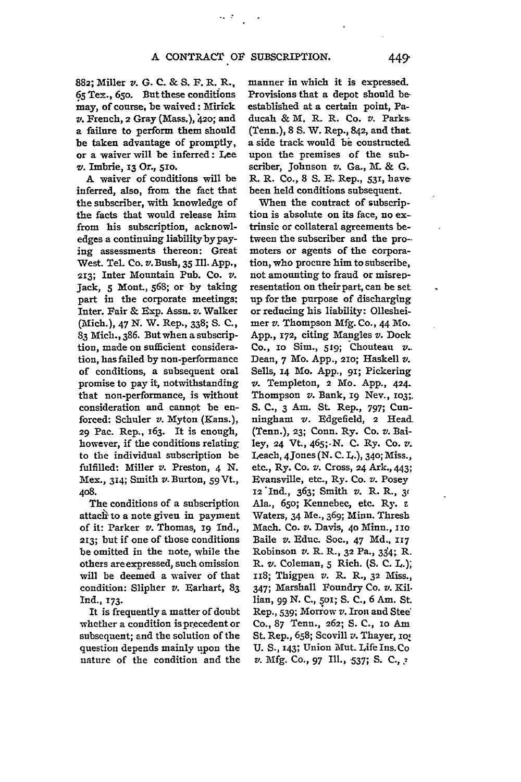**882;** Miller *v. G.* **C. & S.** F. R. R., **65** Tex., 65o. But these conditions may, of course, be waived: Mirick *v.* French, **2** Gray (Mass.), 42o; and a failure to perform them should be taken advantage of promptly, or a waiver will be inferred: Lee v. Imbrie, **13** Or., 5Io.

**A** waiver of conditions will be inferred, also, from the fact that the subscriber, with knowledge of the facts that would release him from his subscription, acknowledges a continuing liability **by** paying assessments thereon: Great West. Tel. Co. *v.* Bush, **35 111. App., 213;** Inter Mountain Pub. Co. *v.* Jack, **5** Mont, **568;** or **by** taking part in the corporate meetings: Inter. Fair **&** Exp. Assn. *v.* Walker (Mich.), 47 **N.** W. Rep., 338; **S.** *C.,* **83** Mich., 386. But when asubscription, made on sufficient consideration, has failed by non-performance of conditions, a subsequent oral promise to pay it, notwithstanding that non-performance, is without consideration and cannot be enforced: Schuler v. Myton (Kans.), **29** Pac. Rep., 163. It is enough, however, if the conditions relating to the individual subscription be fulfilled: Miller *v.* Preston, 4 N. Mex., **314;** Smith *v.* Burton, **59** Vt., 408.

The conditions of a subscription attach to a note given in payment of it: Parker v. Thomas, **i9** Ind., **213;** but if one of those conditions be omitted in the note, while the others are expressed, such omission will be deemed a waiver of that condition: Slipher *v.* Earhart, **83** Ind., **173.**

It is frequently a matter of doubt whether a condition is precedent or subsequent; and the solution of the question depends mainly upon the nature of the condition and the

manner in which it is expressed. Provisions that a depot should beestablished at a certain point, Paducah **&** M. R. R. Co. *v.* Park& (Tenn.), 8 **S.** W. Rep., 842, and that a side track would be constructed upon the premises of the subscriber, Johnson **v.** Ga., M. **& G.** R. R. Co., **8 S. R.** Rep., **531,** have been held conditions subsequent.

When the contract of subscription is absolute on its face, no extrinsic or collateral agreements between the subscriber and the promoters or agents of the corporation, who procure him to subscribe, not amounting to fraud or misrepresentation on their part, can be set up for the purpose of discharging or reducing his liability: Ollesheimer *v.* Thompson Mfg. Co., 44 Mo. App., 172, citing Mangles *v.* Dock Co., IO Sim., **519;** Chouteau *v..* Dean, 7 Mo. App., 21o; Haskell v. Sells, **14** Mo. **App., 9I;** Pickering v. Templeton, 2 Mo. **App., 424.** Thompson **v'.** Bank, **19** Nev., **io3;. S. C.,** 3 Am. St. Rep., **797;** Cunningham **v.** Edgefield, 2 Head. (Tenn.), **23;** Conn. Ry. Co. **v'.** Bailey, 24 Vt., 465;.N. **C.** Ry. Co. *v.* Leach, 4Jones (N. **C.** L.), 340; Miss., etc., Ry. Co. *v.* Cross, 24 Ark., 443; Evansville, etc., Ry. Co. *v.* Posey 12 Ind., 363; Smith *v.* R. **R., 3(** Ala., 650; Kennebec, etc. Ry. z Waters, 34 Me., 369; Minn. Thresh Mach. Co. **v'.** Davis, **40** Minn., **io** Baile *v.* Educ. Soc., 47 Md., **117** Robinson *v.* R. R., **32** Pa., 334; R. R. v. Coleman, 5 Rich. (S. C. L.); **II8;** Thigpen *v.* R. R., **32** Miss., 347; Marshall Foundry Co. *v.* Kil**lian, 99 N. C., 5oi; S. C., 6** Am. St. Rep., **539;** Morrow *v.* Iron and Stee **Co., 87** Tenn., **262; S. C.,** io Am St. Rep., 658; Scovill *v.* Thayer, io,, **U. S., 143;** Union MuL Life Ins.Co *v.* **Mfg. Co.,** 97 **I1., -537; S.** *C.,* **y**

449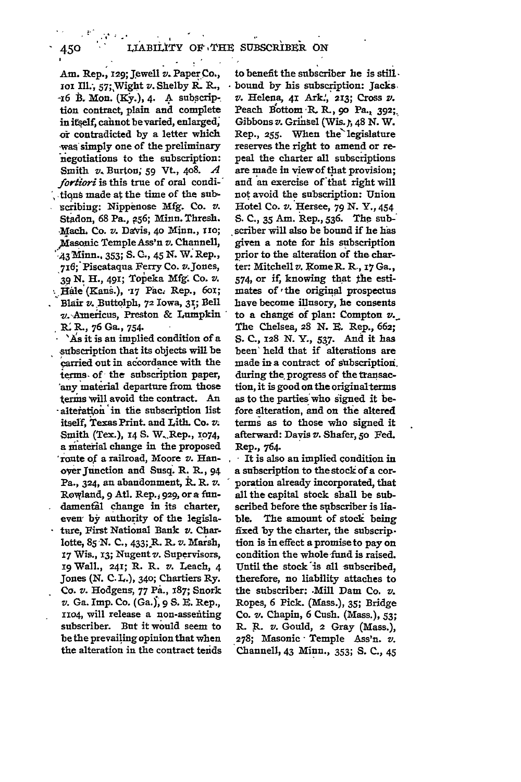LIABILITY OF THE SUBSCRIBER ON

 $\bullet$ 

Am. Rep.,29; jewell *V.* Paper Co., 101 Ill., 57; Wight *v*. Shelby R. R., **-r6 b.** Mon. **(Ky.),** 4. **A** subscription contract, plain and complete in itself, cahnot bevaried, enlarged; or contradicted **by** a letter **which** -was simply one of the preliminary 'negotiations to the subscription: Smith v. Burton; 59 VL, 4o8. *A forliori* is this true of oral condi**tiqns** made at the time of the subscribing: Nippenose **Mfg.** Co. **v.** Stadon, 68 Pa., 256; Minn. Thresh. ,Mach. Co. *v.* Davis, **40** Minn., iio; Masonic Temple Ass'n v. Channell, - 3ffinn.. **353; S. C.,** 45 N. W. Rep., 716; Piscataqua Ferry Co. v.Jones, *39 N.* **H.,** 491; **Topeka Mfg:** Co. *V.* 1ale **(Kan17** PacR ep., 6ol; Blair v. Buttolph, **72** Iowa, **.3 ;** Bell *v.* Americus, Preston & Lumpkin -1 R-, **76** Ga., 754.

**S'As** it is an implied condition of a subscription that its objects will be carried out in accordance with the terms of the subscription paper, 'any material departure from those terms will avoid the contract. An alteration in the subscription list itself, Texas Print. and Lith. Co. **v;** Smith (Tex.), **14 S.** W..Rep., *lo74,* a material change in the proposed 'route of a railroad, Moore *v.* Han**over** Junction and Susq. R. **R.,** 94 Pa., 324, an abandonment, **k.** R. *v.* Rowland, 9 Atl. Rep., 929, or a fundamental change in its charter, even' **by** authority of the legislature, First National Bank v. Charlotte, *85 N.* **C.,** 43 3;.R. R. *v.* Marsh, **17** Wis., **13;** Nugent v. Supervisors, 19 Wall., **241;** R. R. v. Leach, 4 Jones (N. **C.** L.), 340; Chartiers Ry. Co. v. Hodgens, 77 Pa., 187; Snork *v.* Ga. Imp. Co. (Ga.), 9 **S. B.** Rep., 1104, will release a non-assenting subscriber. **But** it would seem to be the prevailing opinion that when the alteration in the contract tends to benefit the subscriber he is still, bound **by** his subscription: Jacks *v.* Helena, **41** Ark, 213; Cross z. Peach Bottom R. R., 90 Pa., 392; Gibbons v. Grisel (Wis. *,* 48 **N.** W. Rep., **255.** When the legislature reserves **the** right to amend or repeal the charter all subscriptions are made in viewof that provision; and an exercise of'that right will not avoid the subscription: Union Hotel Co. **v.** Hersee, **79 N.** *Y.,* 454 **S. C., 35 Am.** Rep., **536.** The subscriber will also be bound if he has given a note for his subscription prior to the alteration **of** the charter: Mitchell v. Rome R. R., 17 Ga., 574, or if, knowing that the estimates of 'the original prospectus have become illusory, **he** consents to a change of plan: Compton  $v$ . The Chelsea, 28 *N. B.* Rep., **662; S. C., 128 N.** Y., **537. And** it has been' held that if alterations are made in a contract of subscription. during the progress of the transaction, it is good on the originalterms as to the parties'who signed it before alteration, and on the altered terms as to those who signed it afterward: Davis v. Shafer, **50** Fed. **Rep.,** 764. • It is also an implied condition in

a subscription to the stock ofa corporation already incorporated, that all the capital stock shall be subscribed before the subscriber is liable. The amount of stock being fixed **by** the charter, the subscription is in effect a promise to pay on condition the whole **fund** is raised. Until the stock'is all subscribed, therefore, no liability attaches to the subscriber: **.Mill** Dam Co. *v.* Ropes, 6 Pick. (Mass.), **35;** Bridge Co. v. Chapin, **6** Cush. (Mass.), *53;* R. **R.** v. Gould, **2** Gray (Mass.), **278;** Masonic- Temple Ass'n. v. Channell, 43 Minn., **353; S. C.,** 45

450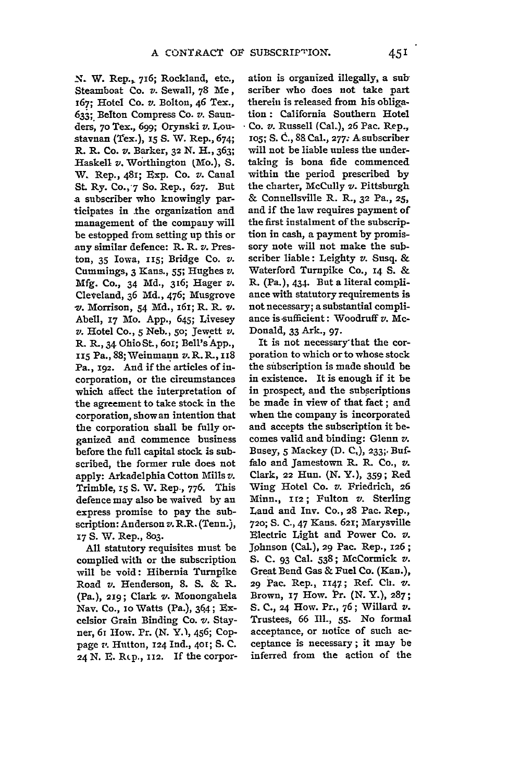*X.* W. Rep., 716; Rockland, etc., Steamboat Co. *v.* Sewall, **78** Me, 167; Hotel Co. v. Bolton, 46 Tex., **633;.** Belton Compress Co. v. Saunders, **70** Tex., **699;** Orynski v. Lou**stavnan** (Tex.), *x5* **S.** W. Rep., 674; R. R. **Co.** v. Barker, **32 N.** H., **363;** Haskell v. Worthington (Mo.), **S.** W. Rep., 481; Exp. Co. v. Canal **St.** Ry. **Co.,'7** So. Rep., **627.** But a subscriber who knowingly participates in .the organization and management of the company will be estopped from setting up this or any similar defence: R. R. v. Preston, 35 Iowa, **ii5;** Bridge Co. *v.* Cummings, 3 Kans., **55;** Hughes v. **Mfg. Co.,** 34 **Md.,** 316; Hager v. Cleveland, 36 Md., 476; Musgrove -v. Morrison, 54 Md., 161; R. R. *v.* Abell, **17** Mo. App., 645; Livesey *v.* Hotel Co., **5** Neb., **50;** Jewett v. R. R., 34 Ohio **St.,** 6oi; Bell's **App., 115** Pa., **88;** Weinmann v. R. **R., iX8** Pa., **192. And** if the articles of incorporation, or the circumstances which affect the interpretation of the agreement to take stock in the corporation, show an intention that the corporation shall be fully organized and commence business before the full capital stock is subscribed, the former rule does not apply: Arkadelphia Cotton Mills *v.* Trimble, **i5 S.** W. Rep., 776. This defence may also be waived by an express promise to pay the subscription: Anderson *v.* R.R. (Tenn.), **17 S.** W. Rep., **803.**

**All** statutory requisites must be complied with or the subscription will be void: Hibernia Turnpike Road *v.* Henderson, 8. S. & R. (Pa.), 219; Clark v'. Monongahela Nay. Co., io Watts (Pa.), 364; **Ex**celsior Grain Binding Co. v. Stayner, 6i How. Pr. (N. **Y.),** 456; Coppage **v.** Hutton, **124** Ind., **4or; S. C.** 24 N. E. Rcp., 112. If the corpor-

ation is organized illegally, a sub scriber who does not take part therein is released from his obligation **:** California Southern Hotel Co. v. Russell (Cal.), 26 Pac. Rep., **ro5; S. d.,** 88 Cal., **277. A** subscriber will not be liable unless the undertaking is bona fide commenced within the period prescribed **by** the charter, McCully v. Pittsburgh & Connellsville R. R., **32** Pa., **25,** and if the law requires payment of the first instalment of the subscription in cash, a payment **by** promissory note will not make the subscriber liable: Leighty *v.* Susq. & Waterford Turnpike **Co., 14 S.** & R. (Pa.), 434. But a literal compliance with statutory requirements is not necessary; a substantial compliance is sufficient: Woodruff *v.* Mc-Donald, 33 Ark., **97.**

It is not necessary'that the corporation to which or to whose stock the subscription is made should be in existence. It is enough if it be in prospect, and the subscriptions be made in view of that fact; and when the company is incorporated and accepts the subscription it becomes valid and binding: Glenn *v.* Busey, **5** Mackey (D. **C,), 233;.** Buffalo and Jamestown R. R. Co., *v.* Clark, 22 Hun. **(N. Y.),** 359; Red Wing Hotel Co. v. Friedrich, **26** Minn., **12;** Fulton *v.* Sterling Land and **Inv. Co.,** 28 Pac. Rep., **720; S. C.,** 47 Kans. **621;** Marysville Mlectric Light and Power Co. *v.* Johnson (Cal.), **29** Pac. Rep., **126; S. C. 93** Cal. **538;** McCormick *v.* Great Bend Gas **&** Fuel Co. (Kan.), 29 Pac. Rep., **1147; Ref. Ch. sr.** Brown, **17** How. Pr. **(N.** Y.), 287; **S. C., 24** How. Pr., **76;** Willard *v.* Trustees, **66 Ill., 55.** No formal acceptance, or notice of such acceptance is necessary; it may be inferred from the action of the